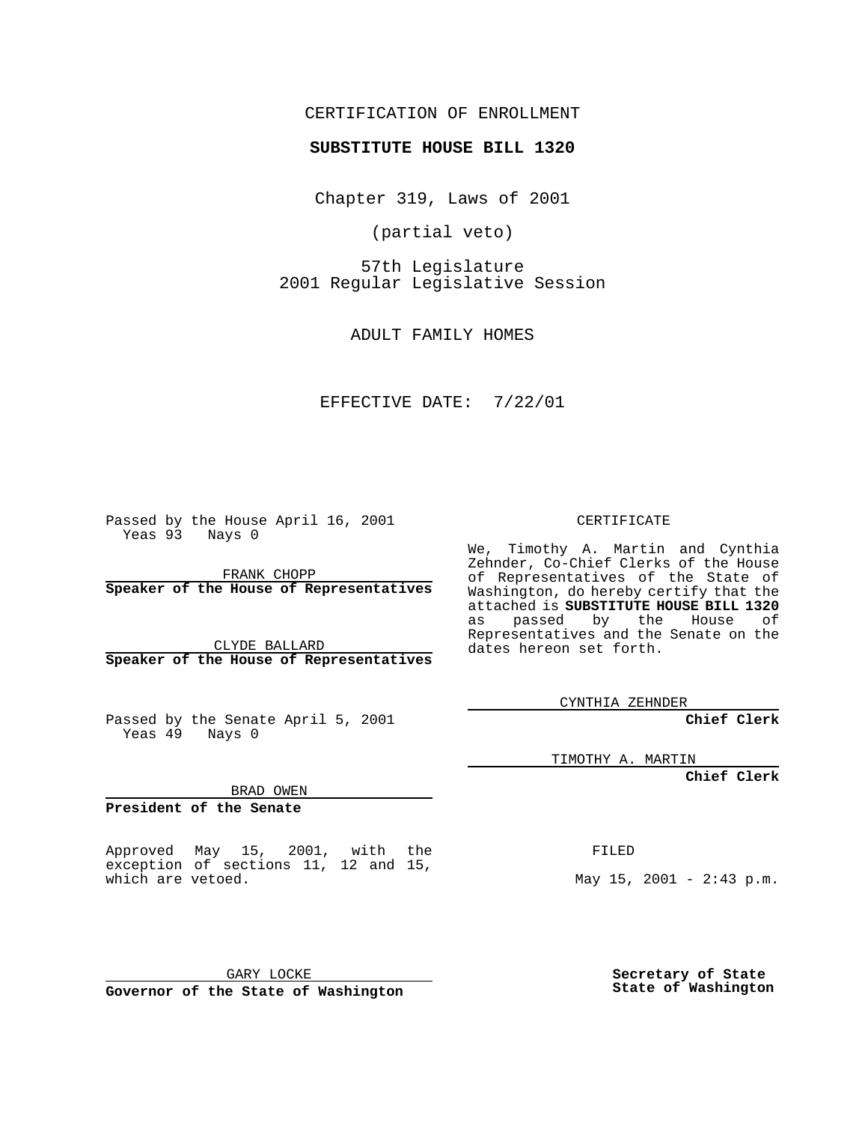CERTIFICATION OF ENROLLMENT

**SUBSTITUTE HOUSE BILL 1320**

Chapter 319, Laws of 2001

(partial veto)

57th Legislature 2001 Regular Legislative Session

ADULT FAMILY HOMES

EFFECTIVE DATE: 7/22/01

Passed by the House April 16, 2001 Yeas 93 Nays 0

FRANK CHOPP **Speaker of the House of Representatives**

CLYDE BALLARD **Speaker of the House of Representatives**

Passed by the Senate April 5, 2001 Yeas 49 Nays 0

**Chief Clerk**

TIMOTHY A. MARTIN

**Chief Clerk**

BRAD OWEN

**President of the Senate**

Approved May 15, 2001, with the exception of sections 11, 12 and 15, which are vetoed.

GARY LOCKE

**Governor of the State of Washington**

**Secretary of State State of Washington**

CERTIFICATE

We, Timothy A. Martin and Cynthia Zehnder, Co-Chief Clerks of the House of Representatives of the State of Washington, do hereby certify that the attached is **SUBSTITUTE HOUSE BILL 1320** as passed by the House of Representatives and the Senate on the dates hereon set forth.

CYNTHIA ZEHNDER

FILED

May  $15$ ,  $2001 - 2:43$  p.m.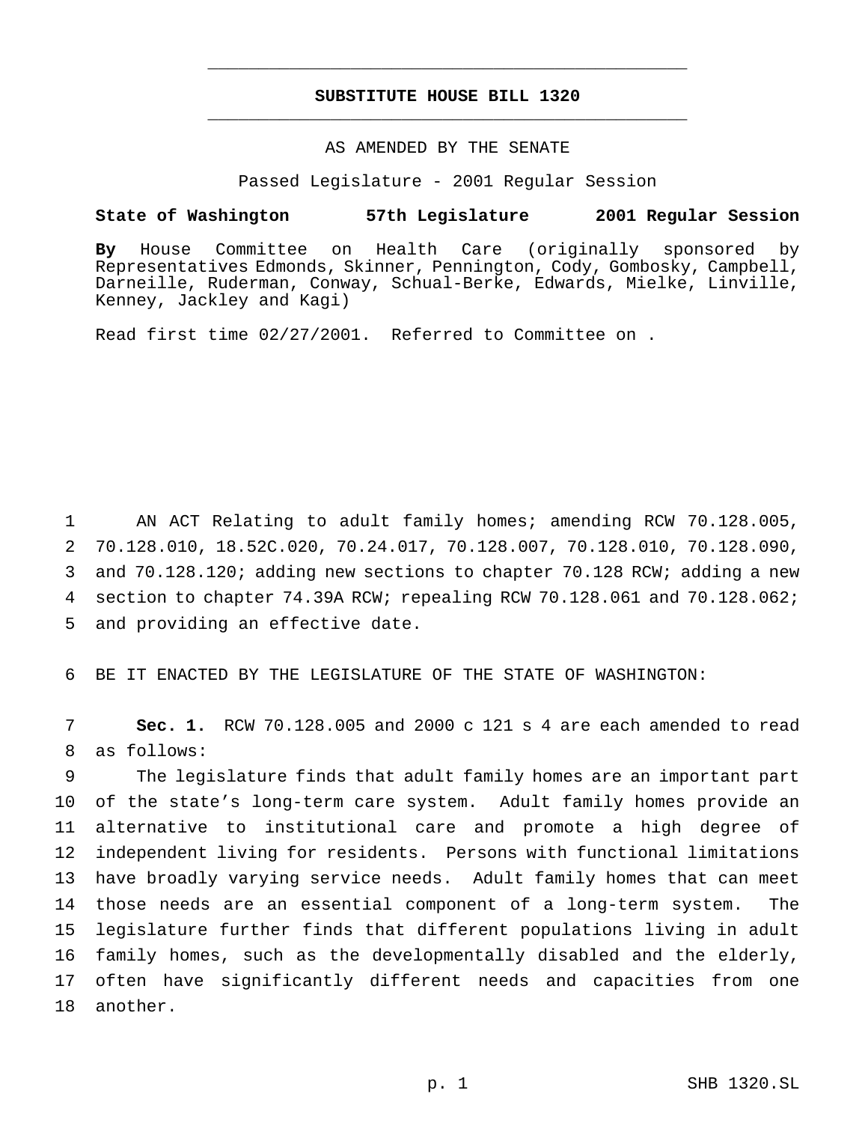## **SUBSTITUTE HOUSE BILL 1320** \_\_\_\_\_\_\_\_\_\_\_\_\_\_\_\_\_\_\_\_\_\_\_\_\_\_\_\_\_\_\_\_\_\_\_\_\_\_\_\_\_\_\_\_\_\_\_

\_\_\_\_\_\_\_\_\_\_\_\_\_\_\_\_\_\_\_\_\_\_\_\_\_\_\_\_\_\_\_\_\_\_\_\_\_\_\_\_\_\_\_\_\_\_\_

## AS AMENDED BY THE SENATE

Passed Legislature - 2001 Regular Session

## **State of Washington 57th Legislature 2001 Regular Session**

**By** House Committee on Health Care (originally sponsored by Representatives Edmonds, Skinner, Pennington, Cody, Gombosky, Campbell, Darneille, Ruderman, Conway, Schual-Berke, Edwards, Mielke, Linville, Kenney, Jackley and Kagi)

Read first time 02/27/2001. Referred to Committee on .

 AN ACT Relating to adult family homes; amending RCW 70.128.005, 70.128.010, 18.52C.020, 70.24.017, 70.128.007, 70.128.010, 70.128.090, and 70.128.120; adding new sections to chapter 70.128 RCW; adding a new section to chapter 74.39A RCW; repealing RCW 70.128.061 and 70.128.062; and providing an effective date.

6 BE IT ENACTED BY THE LEGISLATURE OF THE STATE OF WASHINGTON:

7 **Sec. 1.** RCW 70.128.005 and 2000 c 121 s 4 are each amended to read 8 as follows:

 The legislature finds that adult family homes are an important part of the state's long-term care system. Adult family homes provide an alternative to institutional care and promote a high degree of independent living for residents. Persons with functional limitations have broadly varying service needs. Adult family homes that can meet those needs are an essential component of a long-term system. The legislature further finds that different populations living in adult family homes, such as the developmentally disabled and the elderly, often have significantly different needs and capacities from one 18 another.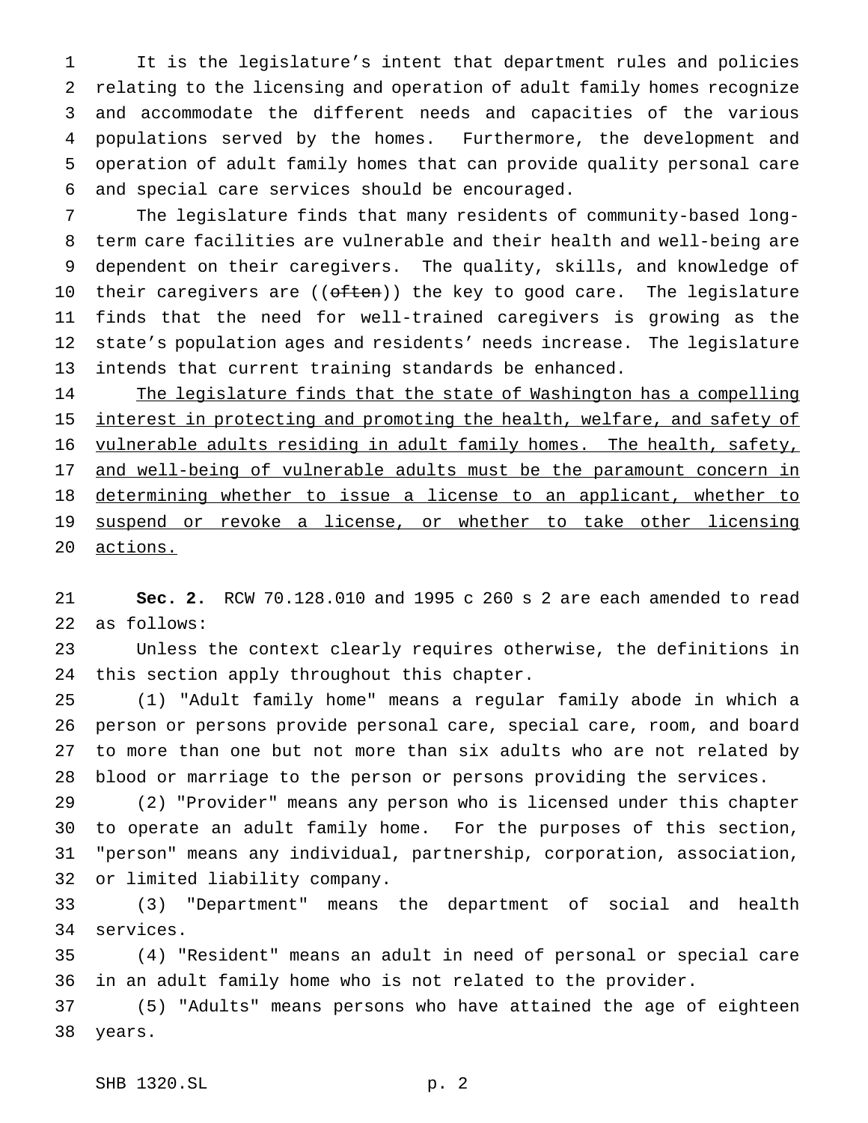It is the legislature's intent that department rules and policies relating to the licensing and operation of adult family homes recognize and accommodate the different needs and capacities of the various populations served by the homes. Furthermore, the development and operation of adult family homes that can provide quality personal care and special care services should be encouraged.

 The legislature finds that many residents of community-based long- term care facilities are vulnerable and their health and well-being are dependent on their caregivers. The quality, skills, and knowledge of 10 their caregivers are ((often)) the key to good care. The legislature finds that the need for well-trained caregivers is growing as the state's population ages and residents' needs increase. The legislature intends that current training standards be enhanced.

14 The legislature finds that the state of Washington has a compelling 15 interest in protecting and promoting the health, welfare, and safety of vulnerable adults residing in adult family homes. The health, safety, 17 and well-being of vulnerable adults must be the paramount concern in 18 determining whether to issue a license to an applicant, whether to 19 suspend or revoke a license, or whether to take other licensing actions.

 **Sec. 2.** RCW 70.128.010 and 1995 c 260 s 2 are each amended to read as follows:

 Unless the context clearly requires otherwise, the definitions in this section apply throughout this chapter.

 (1) "Adult family home" means a regular family abode in which a person or persons provide personal care, special care, room, and board to more than one but not more than six adults who are not related by blood or marriage to the person or persons providing the services.

 (2) "Provider" means any person who is licensed under this chapter to operate an adult family home. For the purposes of this section, "person" means any individual, partnership, corporation, association, or limited liability company.

 (3) "Department" means the department of social and health services.

 (4) "Resident" means an adult in need of personal or special care in an adult family home who is not related to the provider.

 (5) "Adults" means persons who have attained the age of eighteen years.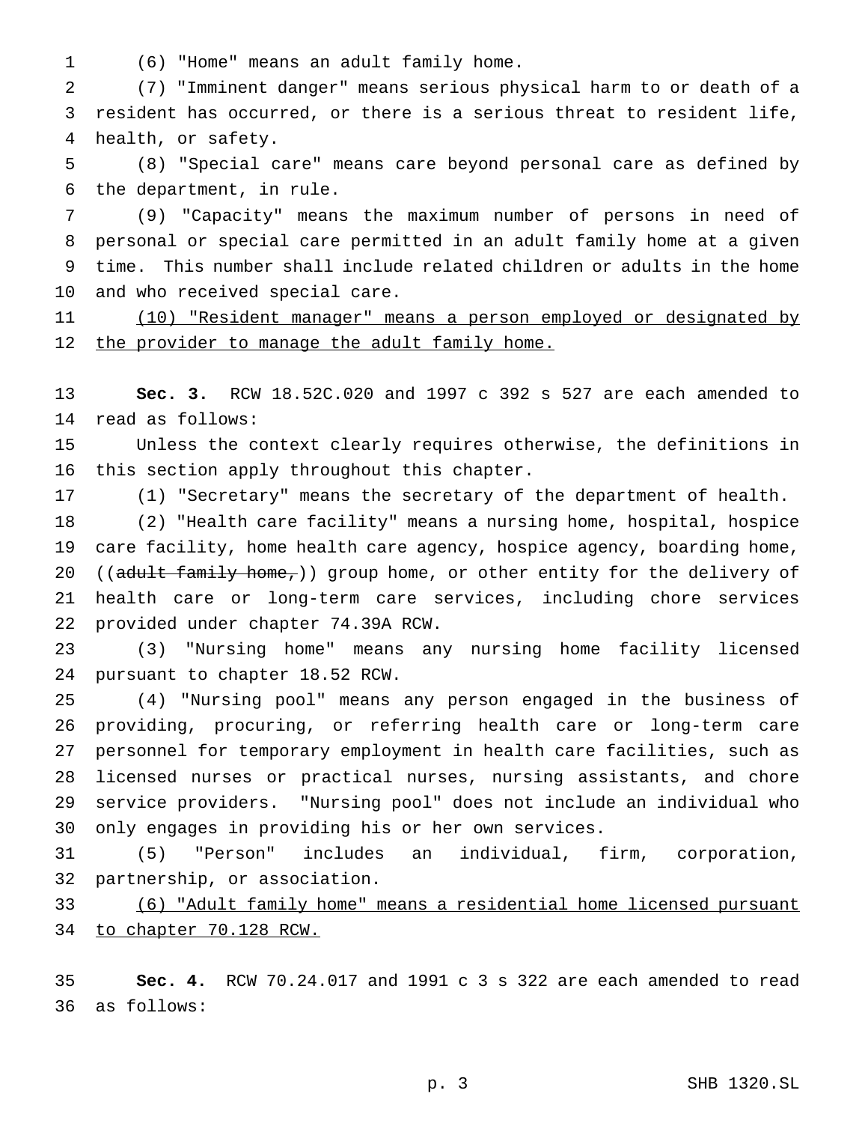(6) "Home" means an adult family home.

 (7) "Imminent danger" means serious physical harm to or death of a resident has occurred, or there is a serious threat to resident life, health, or safety.

 (8) "Special care" means care beyond personal care as defined by the department, in rule.

 (9) "Capacity" means the maximum number of persons in need of personal or special care permitted in an adult family home at a given time. This number shall include related children or adults in the home and who received special care.

 (10) "Resident manager" means a person employed or designated by 12 the provider to manage the adult family home.

 **Sec. 3.** RCW 18.52C.020 and 1997 c 392 s 527 are each amended to read as follows:

 Unless the context clearly requires otherwise, the definitions in this section apply throughout this chapter.

(1) "Secretary" means the secretary of the department of health.

 (2) "Health care facility" means a nursing home, hospital, hospice care facility, home health care agency, hospice agency, boarding home, 20 ((adult family home,)) group home, or other entity for the delivery of health care or long-term care services, including chore services provided under chapter 74.39A RCW.

 (3) "Nursing home" means any nursing home facility licensed pursuant to chapter 18.52 RCW.

 (4) "Nursing pool" means any person engaged in the business of providing, procuring, or referring health care or long-term care personnel for temporary employment in health care facilities, such as licensed nurses or practical nurses, nursing assistants, and chore service providers. "Nursing pool" does not include an individual who only engages in providing his or her own services.

 (5) "Person" includes an individual, firm, corporation, partnership, or association.

 (6) "Adult family home" means a residential home licensed pursuant to chapter 70.128 RCW.

 **Sec. 4.** RCW 70.24.017 and 1991 c 3 s 322 are each amended to read as follows: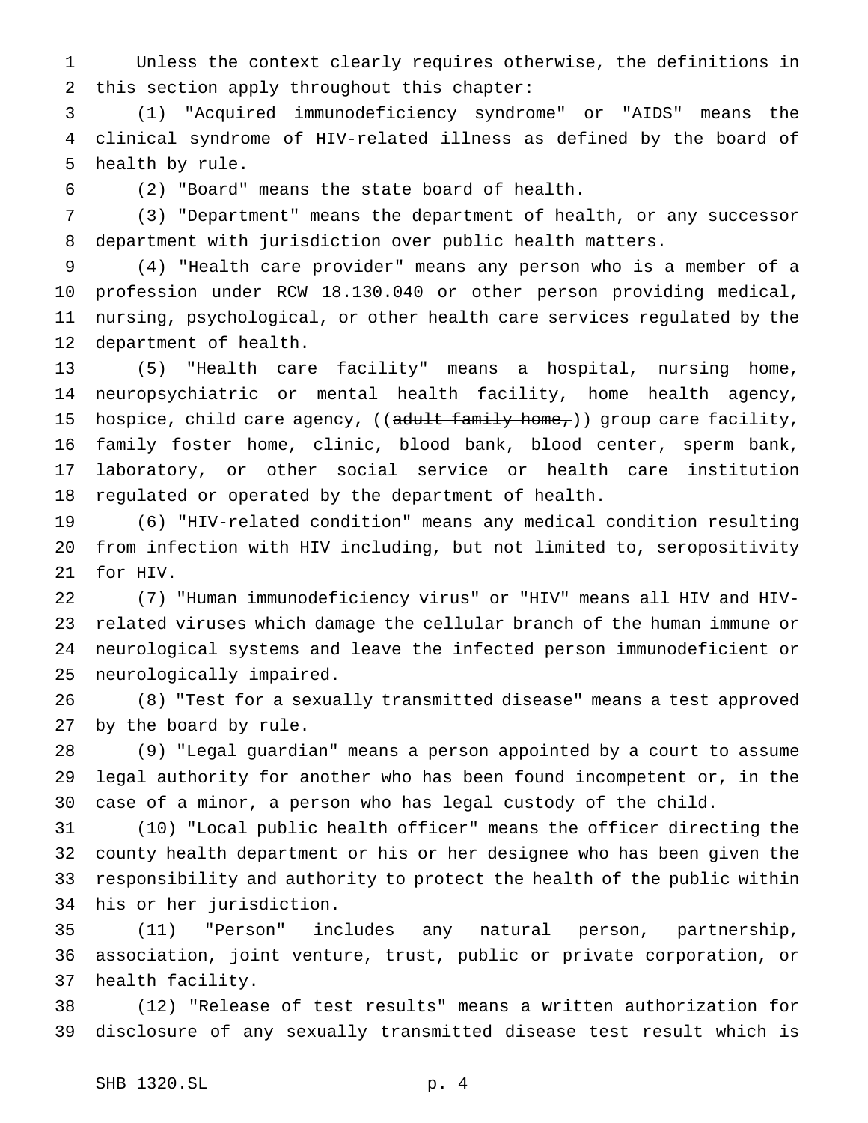Unless the context clearly requires otherwise, the definitions in this section apply throughout this chapter:

 (1) "Acquired immunodeficiency syndrome" or "AIDS" means the clinical syndrome of HIV-related illness as defined by the board of health by rule.

(2) "Board" means the state board of health.

 (3) "Department" means the department of health, or any successor department with jurisdiction over public health matters.

 (4) "Health care provider" means any person who is a member of a profession under RCW 18.130.040 or other person providing medical, nursing, psychological, or other health care services regulated by the department of health.

 (5) "Health care facility" means a hospital, nursing home, neuropsychiatric or mental health facility, home health agency, 15 hospice, child care agency,  $((\text{adult family home}))$  group care facility, family foster home, clinic, blood bank, blood center, sperm bank, laboratory, or other social service or health care institution regulated or operated by the department of health.

 (6) "HIV-related condition" means any medical condition resulting from infection with HIV including, but not limited to, seropositivity for HIV.

 (7) "Human immunodeficiency virus" or "HIV" means all HIV and HIV- related viruses which damage the cellular branch of the human immune or neurological systems and leave the infected person immunodeficient or neurologically impaired.

 (8) "Test for a sexually transmitted disease" means a test approved by the board by rule.

 (9) "Legal guardian" means a person appointed by a court to assume legal authority for another who has been found incompetent or, in the case of a minor, a person who has legal custody of the child.

 (10) "Local public health officer" means the officer directing the county health department or his or her designee who has been given the responsibility and authority to protect the health of the public within his or her jurisdiction.

 (11) "Person" includes any natural person, partnership, association, joint venture, trust, public or private corporation, or health facility.

 (12) "Release of test results" means a written authorization for disclosure of any sexually transmitted disease test result which is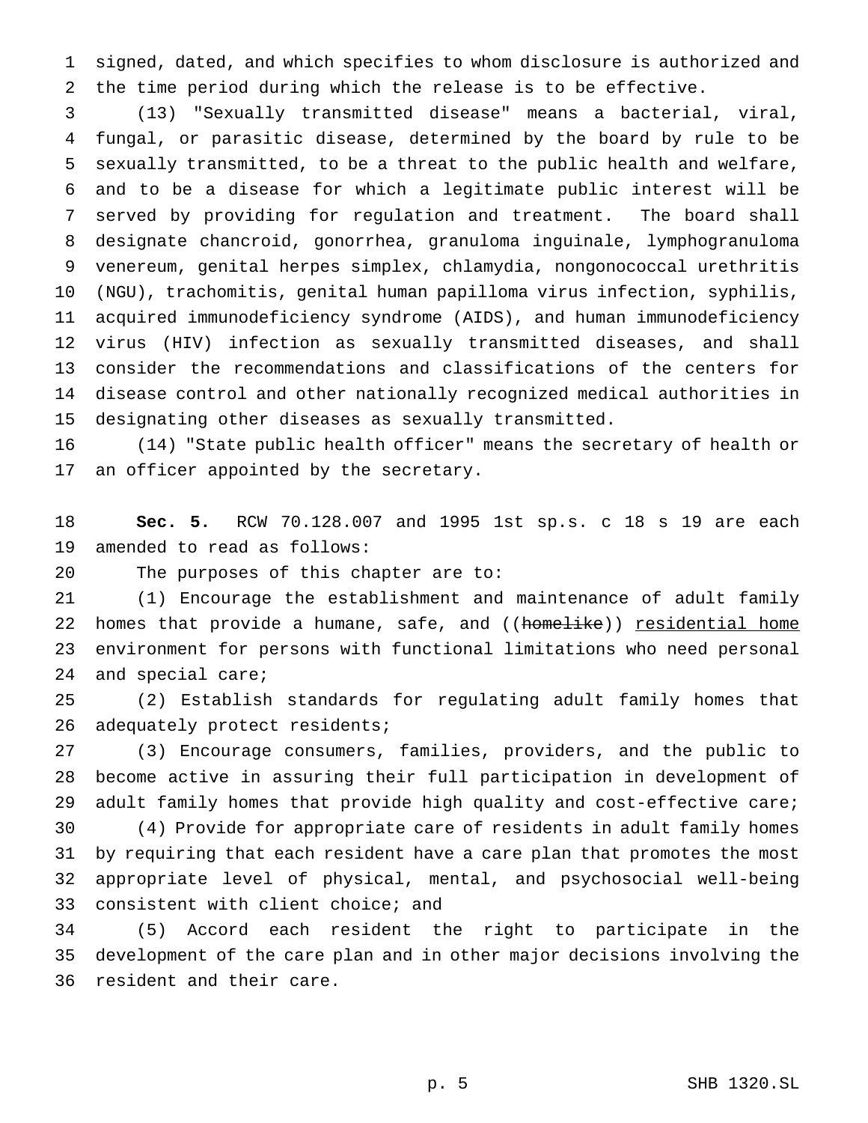signed, dated, and which specifies to whom disclosure is authorized and the time period during which the release is to be effective.

 (13) "Sexually transmitted disease" means a bacterial, viral, fungal, or parasitic disease, determined by the board by rule to be sexually transmitted, to be a threat to the public health and welfare, and to be a disease for which a legitimate public interest will be served by providing for regulation and treatment. The board shall designate chancroid, gonorrhea, granuloma inguinale, lymphogranuloma venereum, genital herpes simplex, chlamydia, nongonococcal urethritis (NGU), trachomitis, genital human papilloma virus infection, syphilis, acquired immunodeficiency syndrome (AIDS), and human immunodeficiency virus (HIV) infection as sexually transmitted diseases, and shall consider the recommendations and classifications of the centers for disease control and other nationally recognized medical authorities in designating other diseases as sexually transmitted.

 (14) "State public health officer" means the secretary of health or an officer appointed by the secretary.

 **Sec. 5.** RCW 70.128.007 and 1995 1st sp.s. c 18 s 19 are each amended to read as follows:

The purposes of this chapter are to:

 (1) Encourage the establishment and maintenance of adult family 22 homes that provide a humane, safe, and ((homelike)) residential home environment for persons with functional limitations who need personal and special care;

 (2) Establish standards for regulating adult family homes that 26 adequately protect residents;

 (3) Encourage consumers, families, providers, and the public to become active in assuring their full participation in development of adult family homes that provide high quality and cost-effective care;

 (4) Provide for appropriate care of residents in adult family homes by requiring that each resident have a care plan that promotes the most appropriate level of physical, mental, and psychosocial well-being consistent with client choice; and

 (5) Accord each resident the right to participate in the development of the care plan and in other major decisions involving the resident and their care.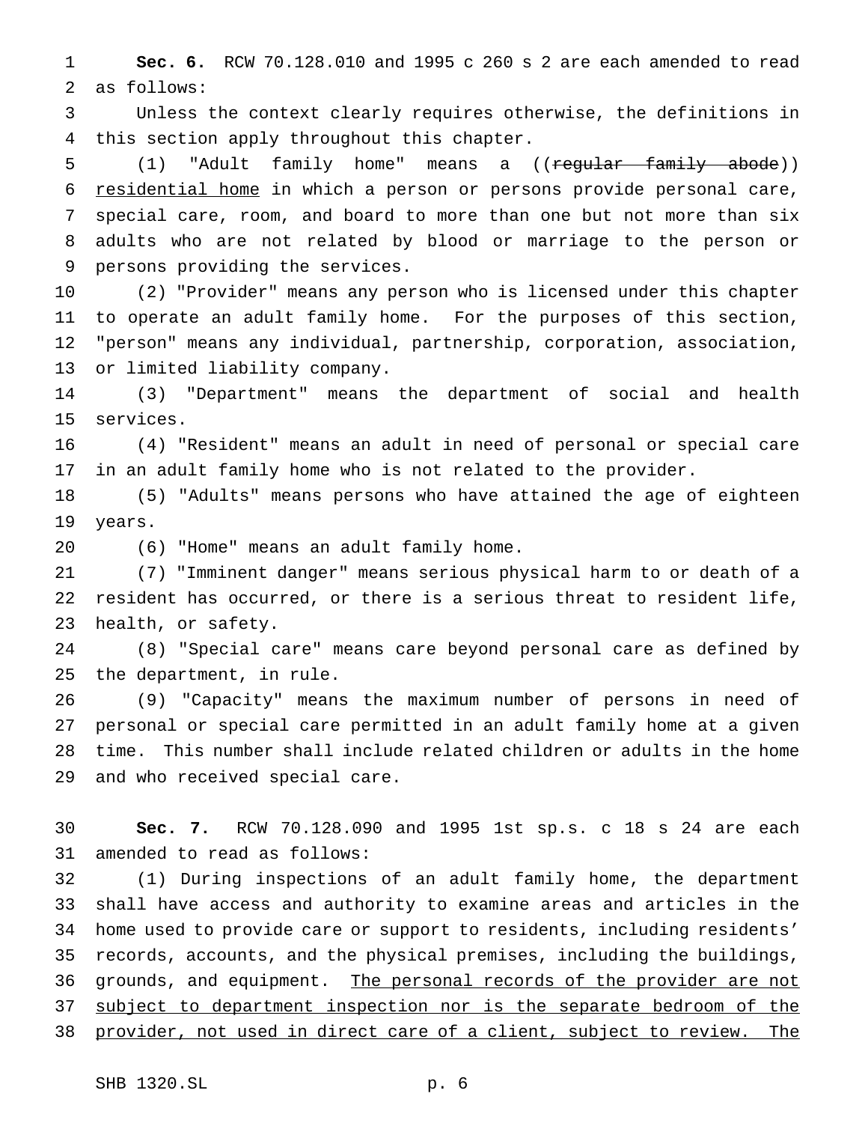**Sec. 6.** RCW 70.128.010 and 1995 c 260 s 2 are each amended to read as follows:

 Unless the context clearly requires otherwise, the definitions in this section apply throughout this chapter.

5 (1) "Adult family home" means a ((regular family abode)) 6 residential home in which a person or persons provide personal care, special care, room, and board to more than one but not more than six adults who are not related by blood or marriage to the person or persons providing the services.

 (2) "Provider" means any person who is licensed under this chapter to operate an adult family home. For the purposes of this section, "person" means any individual, partnership, corporation, association, or limited liability company.

 (3) "Department" means the department of social and health services.

 (4) "Resident" means an adult in need of personal or special care in an adult family home who is not related to the provider.

 (5) "Adults" means persons who have attained the age of eighteen years.

(6) "Home" means an adult family home.

 (7) "Imminent danger" means serious physical harm to or death of a resident has occurred, or there is a serious threat to resident life, health, or safety.

 (8) "Special care" means care beyond personal care as defined by the department, in rule.

 (9) "Capacity" means the maximum number of persons in need of personal or special care permitted in an adult family home at a given time. This number shall include related children or adults in the home and who received special care.

 **Sec. 7.** RCW 70.128.090 and 1995 1st sp.s. c 18 s 24 are each amended to read as follows:

 (1) During inspections of an adult family home, the department shall have access and authority to examine areas and articles in the home used to provide care or support to residents, including residents' records, accounts, and the physical premises, including the buildings, 36 grounds, and equipment. The personal records of the provider are not 37 subject to department inspection nor is the separate bedroom of the provider, not used in direct care of a client, subject to review. The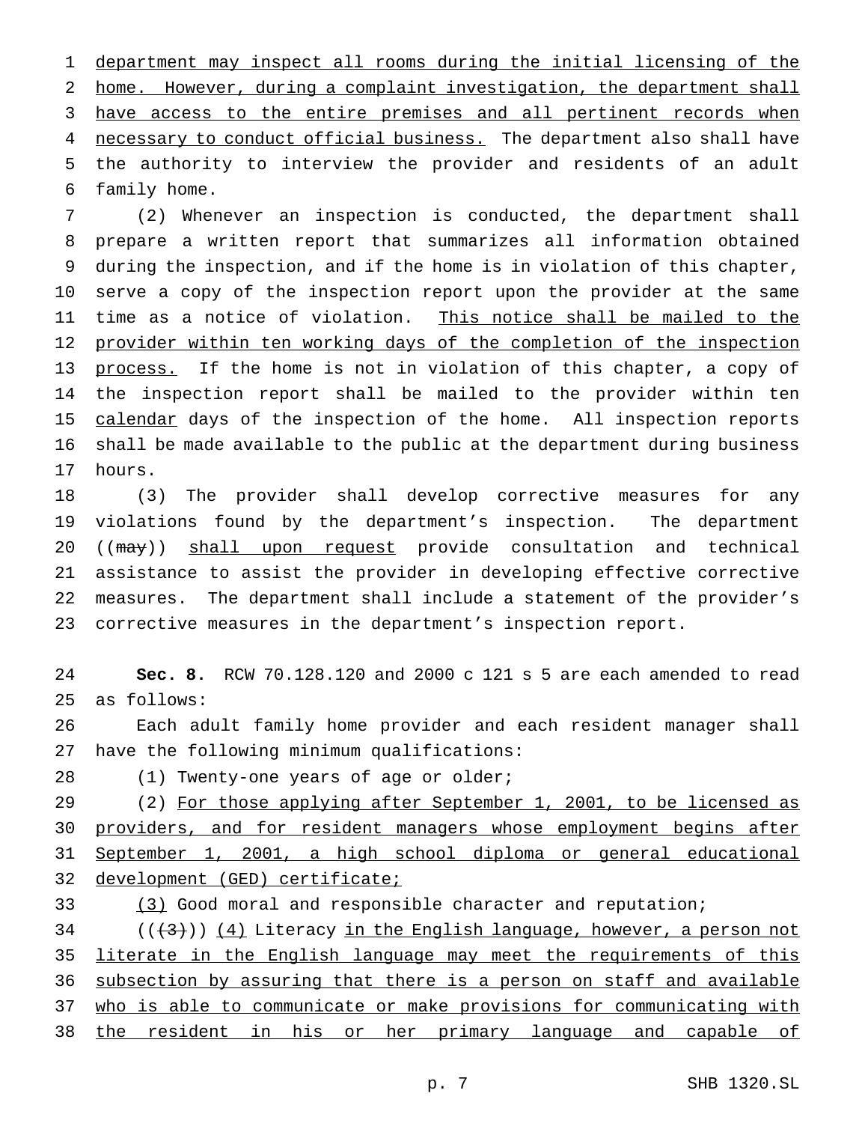department may inspect all rooms during the initial licensing of the home. However, during a complaint investigation, the department shall 3 have access to the entire premises and all pertinent records when 4 necessary to conduct official business. The department also shall have the authority to interview the provider and residents of an adult family home.

 (2) Whenever an inspection is conducted, the department shall prepare a written report that summarizes all information obtained during the inspection, and if the home is in violation of this chapter, serve a copy of the inspection report upon the provider at the same 11 time as a notice of violation. This notice shall be mailed to the 12 provider within ten working days of the completion of the inspection 13 process. If the home is not in violation of this chapter, a copy of the inspection report shall be mailed to the provider within ten 15 calendar days of the inspection of the home. All inspection reports shall be made available to the public at the department during business hours.

 (3) The provider shall develop corrective measures for any violations found by the department's inspection. The department 20 ((may)) shall upon request provide consultation and technical assistance to assist the provider in developing effective corrective measures. The department shall include a statement of the provider's corrective measures in the department's inspection report.

 **Sec. 8.** RCW 70.128.120 and 2000 c 121 s 5 are each amended to read as follows:

 Each adult family home provider and each resident manager shall have the following minimum qualifications:

28 (1) Twenty-one years of age or older;

29 (2) For those applying after September 1, 2001, to be licensed as 30 providers, and for resident managers whose employment begins after September 1, 2001, a high school diploma or general educational development (GED) certificate;

 (3) Good moral and responsible character and reputation; (( $(3)$ )) (4) Literacy in the English language, however, a person not 35 literate in the English language may meet the requirements of this subsection by assuring that there is a person on staff and available who is able to communicate or make provisions for communicating with the resident in his or her primary language and capable of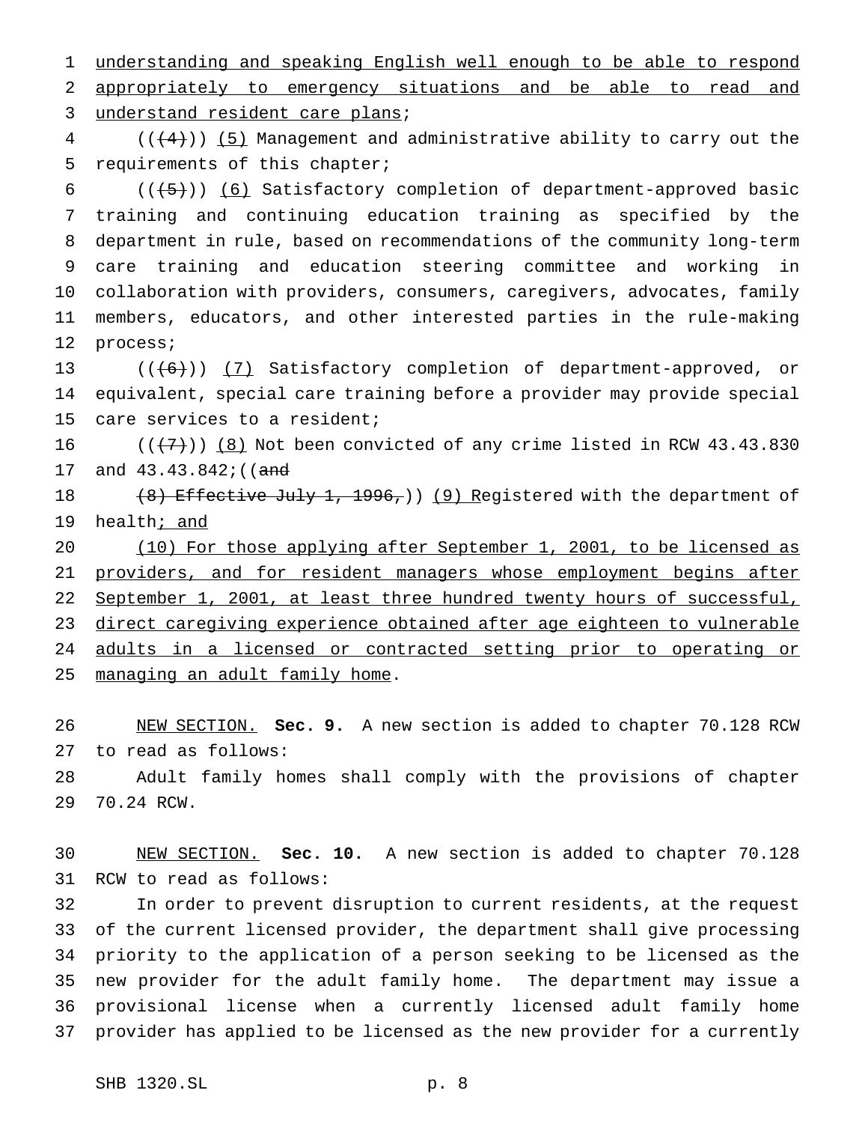understanding and speaking English well enough to be able to respond appropriately to emergency situations and be able to read and 3 understand resident care plans;

 (( $(4)$ )) (5) Management and administrative ability to carry out the requirements of this chapter;

 $((+5))$  (6) Satisfactory completion of department-approved basic training and continuing education training as specified by the department in rule, based on recommendations of the community long-term care training and education steering committee and working in collaboration with providers, consumers, caregivers, advocates, family members, educators, and other interested parties in the rule-making process;

13 (((6)) (7) Satisfactory completion of department-approved, or equivalent, special care training before a provider may provide special care services to a resident;

 $((\langle 7 \rangle)$  (8) Not been convicted of any crime listed in RCW 43.43.830 17 and 43.43.842; ((and

18 (8) Effective July 1, 1996,)) (9) Registered with the department of 19 health<sub>j and</sub>

20 (10) For those applying after September 1, 2001, to be licensed as 21 providers, and for resident managers whose employment begins after 22 September 1, 2001, at least three hundred twenty hours of successful, 23 direct caregiving experience obtained after age eighteen to vulnerable adults in a licensed or contracted setting prior to operating or managing an adult family home.

 NEW SECTION. **Sec. 9.** A new section is added to chapter 70.128 RCW to read as follows:

 Adult family homes shall comply with the provisions of chapter 70.24 RCW.

 NEW SECTION. **Sec. 10.** A new section is added to chapter 70.128 RCW to read as follows:

 In order to prevent disruption to current residents, at the request of the current licensed provider, the department shall give processing priority to the application of a person seeking to be licensed as the new provider for the adult family home. The department may issue a provisional license when a currently licensed adult family home provider has applied to be licensed as the new provider for a currently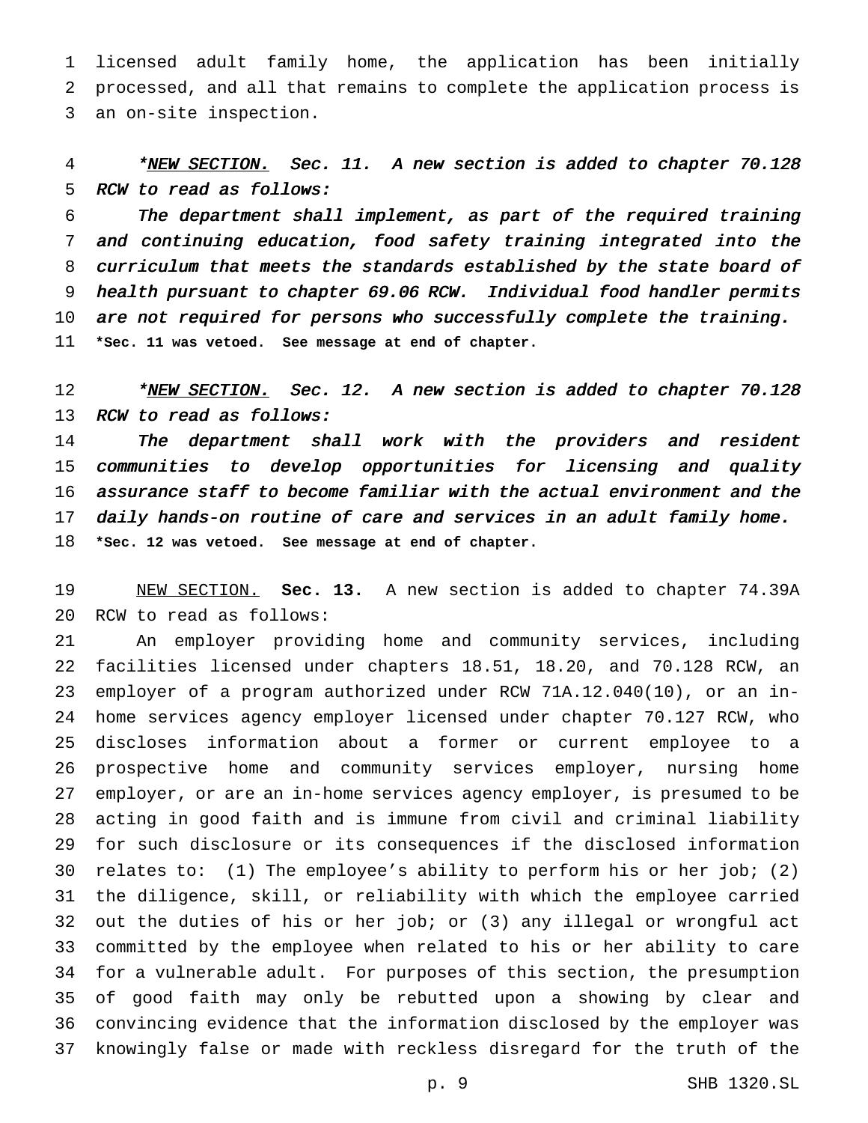licensed adult family home, the application has been initially processed, and all that remains to complete the application process is an on-site inspection.

4 \*NEW SECTION. Sec. 11. A new section is added to chapter 70.128 RCW to read as follows:

 The department shall implement, as part of the required training and continuing education, food safety training integrated into the curriculum that meets the standards established by the state board of health pursuant to chapter 69.06 RCW. Individual food handler permits 10 are not required for persons who successfully complete the training. **\*Sec. 11 was vetoed. See message at end of chapter.**

12 \*NEW SECTION. Sec. 12. A new section is added to chapter 70.128 RCW to read as follows:

 The department shall work with the providers and resident communities to develop opportunities for licensing and quality assurance staff to become familiar with the actual environment and the daily hands-on routine of care and services in an adult family home. **\*Sec. 12 was vetoed. See message at end of chapter.**

 NEW SECTION. **Sec. 13.** A new section is added to chapter 74.39A RCW to read as follows:

 An employer providing home and community services, including facilities licensed under chapters 18.51, 18.20, and 70.128 RCW, an employer of a program authorized under RCW 71A.12.040(10), or an in- home services agency employer licensed under chapter 70.127 RCW, who discloses information about a former or current employee to a prospective home and community services employer, nursing home employer, or are an in-home services agency employer, is presumed to be acting in good faith and is immune from civil and criminal liability for such disclosure or its consequences if the disclosed information relates to: (1) The employee's ability to perform his or her job; (2) the diligence, skill, or reliability with which the employee carried out the duties of his or her job; or (3) any illegal or wrongful act committed by the employee when related to his or her ability to care for a vulnerable adult. For purposes of this section, the presumption of good faith may only be rebutted upon a showing by clear and convincing evidence that the information disclosed by the employer was knowingly false or made with reckless disregard for the truth of the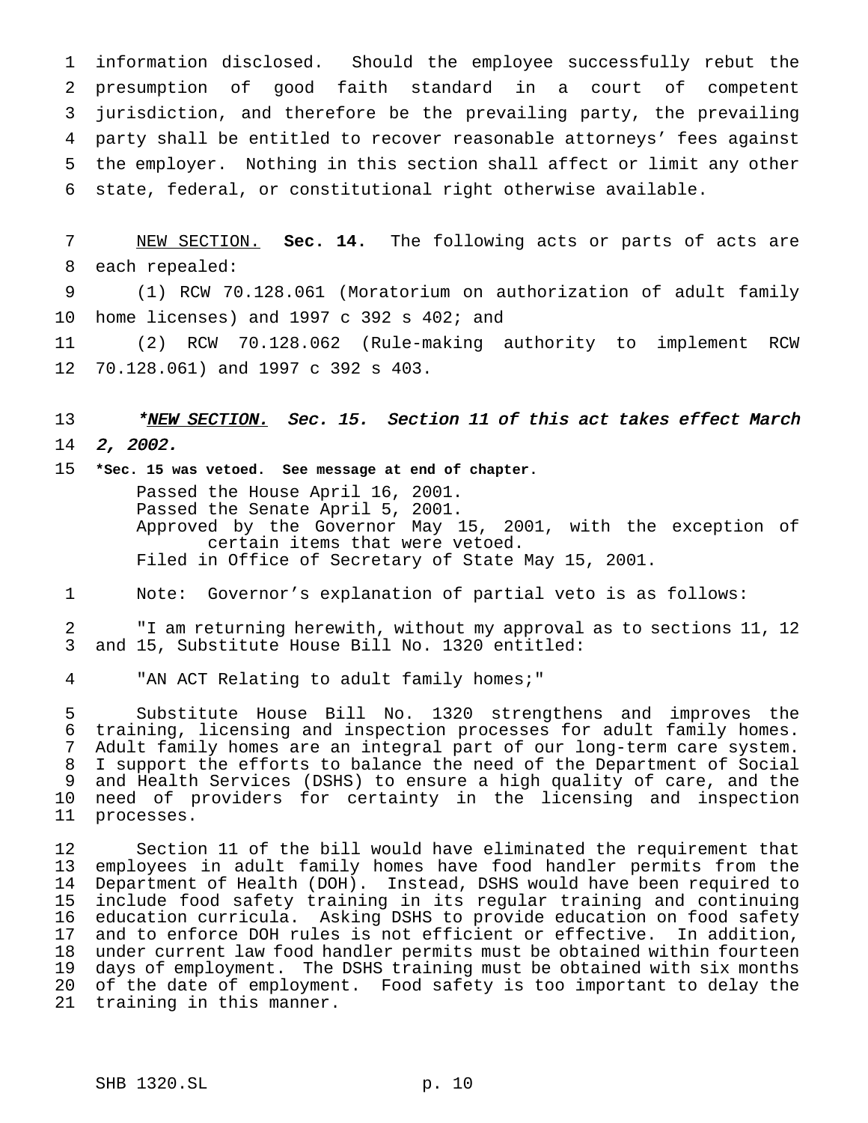information disclosed. Should the employee successfully rebut the presumption of good faith standard in a court of competent jurisdiction, and therefore be the prevailing party, the prevailing party shall be entitled to recover reasonable attorneys' fees against the employer. Nothing in this section shall affect or limit any other state, federal, or constitutional right otherwise available.

 NEW SECTION. **Sec. 14.** The following acts or parts of acts are each repealed:

 (1) RCW 70.128.061 (Moratorium on authorization of adult family home licenses) and 1997 c 392 s 402; and

 (2) RCW 70.128.062 (Rule-making authority to implement RCW 70.128.061) and 1997 c 392 s 403.

13 \*NEW SECTION. Sec. 15. Section 11 of this act takes effect March

2, 2002.

 **\*Sec. 15 was vetoed. See message at end of chapter.** Passed the House April 16, 2001. Passed the Senate April 5, 2001. Approved by the Governor May 15, 2001, with the exception of certain items that were vetoed. Filed in Office of Secretary of State May 15, 2001.

Note: Governor's explanation of partial veto is as follows:

 "I am returning herewith, without my approval as to sections 11, 12 and 15, Substitute House Bill No. 1320 entitled:

"AN ACT Relating to adult family homes;"

 Substitute House Bill No. 1320 strengthens and improves the training, licensing and inspection processes for adult family homes. Adult family homes are an integral part of our long-term care system. I support the efforts to balance the need of the Department of Social and Health Services (DSHS) to ensure a high quality of care, and the need of providers for certainty in the licensing and inspection processes.

12 Section 11 of the bill would have eliminated the requirement that<br>13 employees in adult family homes have food handler permits from the employees in adult family homes have food handler permits from the Department of Health (DOH). Instead, DSHS would have been required to include food safety training in its regular training and continuing 16 education curricula. Asking DSHS to provide education on food safety<br>17 and to enforce DOH rules is not efficient or effective. In addition, and to enforce DOH rules is not efficient or effective. In addition, under current law food handler permits must be obtained within fourteen days of employment. The DSHS training must be obtained with six months of the date of employment. Food safety is too important to delay the training in this manner.